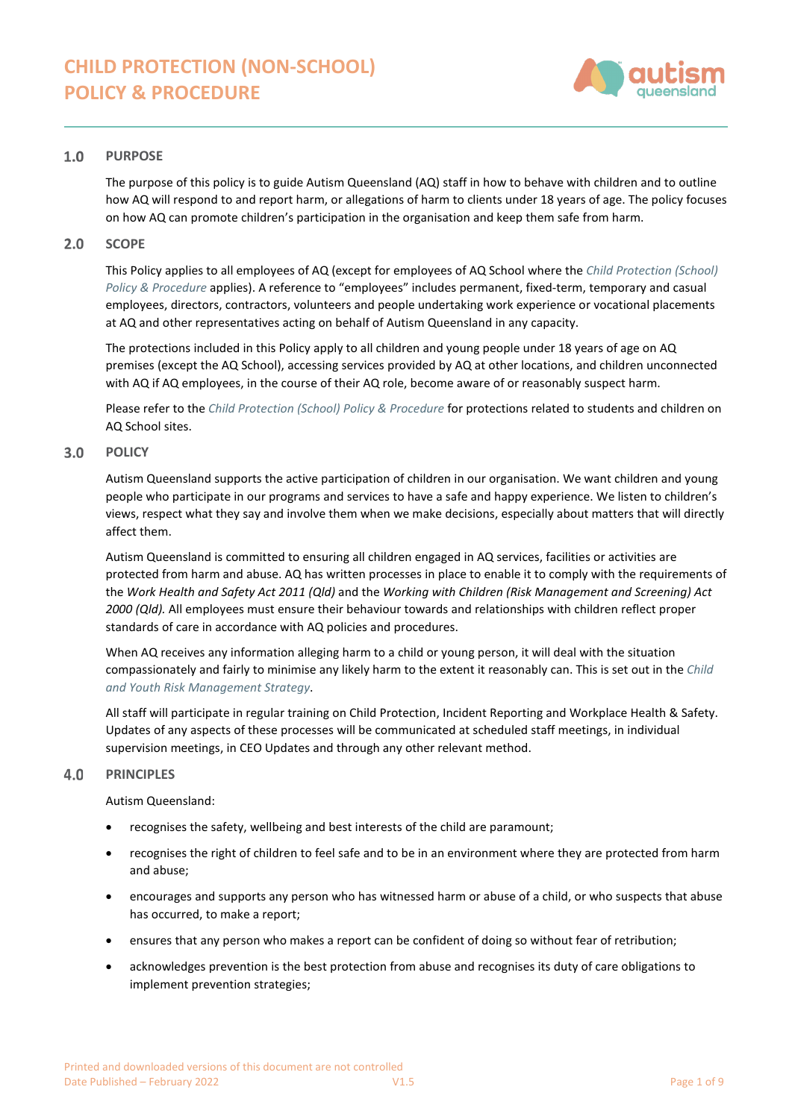

#### $1.0$ **PURPOSE**

The purpose of this policy is to guide Autism Queensland (AQ) staff in how to behave with children and to outline how AQ will respond to and report harm, or allegations of harm to clients under 18 years of age. The policy focuses on how AQ can promote children's participation in the organisation and keep them safe from harm.

#### $2.0$ **SCOPE**

This Policy applies to all employees of AQ (except for employees of AQ School where the *[Child Protection \(School\)](https://autismqueenslandlimited.sharepoint.com/sites/AQQADocuments/All%20Documents/Child%20Protection%20(School)%20Policy%20%26%20Procedure.pdf)  [Policy & Procedure](https://autismqueenslandlimited.sharepoint.com/sites/AQQADocuments/All%20Documents/Child%20Protection%20(School)%20Policy%20%26%20Procedure.pdf)* applies). A reference to "employees" includes permanent, fixed-term, temporary and casual employees, directors, contractors, volunteers and people undertaking work experience or vocational placements at AQ and other representatives acting on behalf of Autism Queensland in any capacity.

The protections included in this Policy apply to all children and young people under 18 years of age on AQ premises (except the AQ School), accessing services provided by AQ at other locations, and children unconnected with AQ if AQ employees, in the course of their AQ role, become aware of or reasonably suspect harm.

Please refer to the *[Child Protection \(School\) Policy & Procedure](https://autismqueenslandlimited.sharepoint.com/sites/AQQADocuments/All%20Documents/Child%20Protection%20(School)%20Policy%20%26%20Procedure.pdf)* for protections related to students and children on AQ School sites.

#### $3.0$ **POLICY**

Autism Queensland supports the active participation of children in our organisation. We want children and young people who participate in our programs and services to have a safe and happy experience. We listen to children's views, respect what they say and involve them when we make decisions, especially about matters that will directly affect them.

Autism Queensland is committed to ensuring all children engaged in AQ services, facilities or activities are protected from harm and abuse. AQ has written processes in place to enable it to comply with the requirements of the *Work Health and Safety Act 2011 (Qld)* and the *Working with Children (Risk Management and Screening) Act 2000 (Qld).* All employees must ensure their behaviour towards and relationships with children reflect proper standards of care in accordance with AQ policies and procedures.

When AQ receives any information alleging harm to a child or young person, it will deal with the situation compassionately and fairly to minimise any likely harm to the extent it reasonably can. This is set out in the *[Child](https://autismqueenslandlimited.sharepoint.com/sites/AQQADocuments/All%20Documents/Child%20&%20Youth%20Risk%20Management%20Strategy.pdf)  and [Youth Risk Management Strategy](https://autismqueenslandlimited.sharepoint.com/sites/AQQADocuments/All%20Documents/Child%20&%20Youth%20Risk%20Management%20Strategy.pdf)*.

All staff will participate in regular training on Child Protection, Incident Reporting and Workplace Health & Safety. Updates of any aspects of these processes will be communicated at scheduled staff meetings, in individual supervision meetings, in CEO Updates and through any other relevant method.

#### $4.0$ **PRINCIPLES**

Autism Queensland:

- recognises the safety, wellbeing and best interests of the child are paramount;
- recognises the right of children to feel safe and to be in an environment where they are protected from harm and abuse;
- encourages and supports any person who has witnessed harm or abuse of a child, or who suspects that abuse has occurred, to make a report;
- ensures that any person who makes a report can be confident of doing so without fear of retribution;
- acknowledges prevention is the best protection from abuse and recognises its duty of care obligations to implement prevention strategies;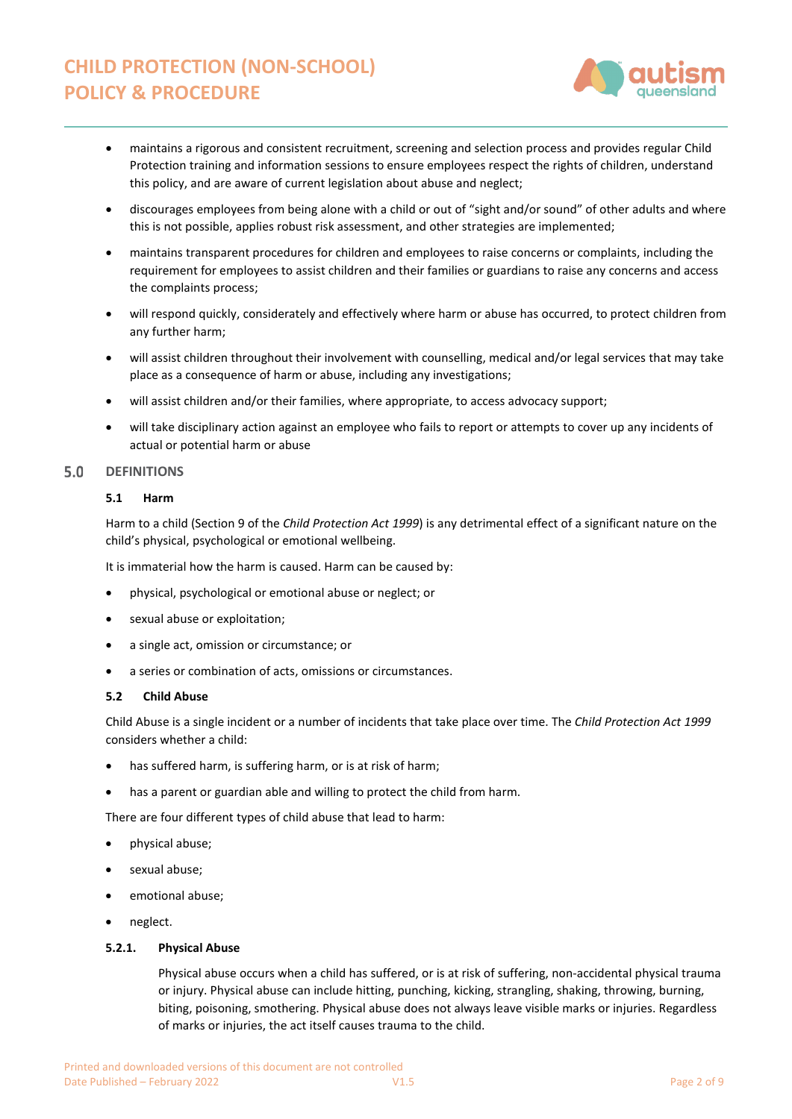

- maintains a rigorous and consistent recruitment, screening and selection process and provides regular Child Protection training and information sessions to ensure employees respect the rights of children, understand this policy, and are aware of current legislation about abuse and neglect;
- discourages employees from being alone with a child or out of "sight and/or sound" of other adults and where this is not possible, applies robust risk assessment, and other strategies are implemented;
- maintains transparent procedures for children and employees to raise concerns or complaints, including the requirement for employees to assist children and their families or guardians to raise any concerns and access the complaints process;
- will respond quickly, considerately and effectively where harm or abuse has occurred, to protect children from any further harm;
- will assist children throughout their involvement with counselling, medical and/or legal services that may take place as a consequence of harm or abuse, including any investigations;
- will assist children and/or their families, where appropriate, to access advocacy support;
- will take disciplinary action against an employee who fails to report or attempts to cover up any incidents of actual or potential harm or abuse

#### $5.0$ **DEFINITIONS**

# **5.1 Harm**

Harm to a child (Section 9 of the *Child Protection Act 1999*) is any detrimental effect of a significant nature on the child's physical, psychological or emotional wellbeing.

It is immaterial how the harm is caused. Harm can be caused by:

- physical, psychological or emotional abuse or neglect; or
- sexual abuse or exploitation;
- a single act, omission or circumstance; or
- a series or combination of acts, omissions or circumstances.

# **5.2 Child Abuse**

Child Abuse is a single incident or a number of incidents that take place over time. The *Child Protection Act 1999* considers whether a child:

- has suffered harm, is suffering harm, or is at risk of harm;
- has a parent or guardian able and willing to protect the child from harm.

There are four different types of child abuse that lead to harm:

- physical abuse;
- sexual abuse:
- emotional abuse;
- neglect.

# **5.2.1. Physical Abuse**

Physical abuse occurs when a child has suffered, or is at risk of suffering, non-accidental physical trauma or injury. Physical abuse can include hitting, punching, kicking, strangling, shaking, throwing, burning, biting, poisoning, smothering. Physical abuse does not always leave visible marks or injuries. Regardless of marks or injuries, the act itself causes trauma to the child.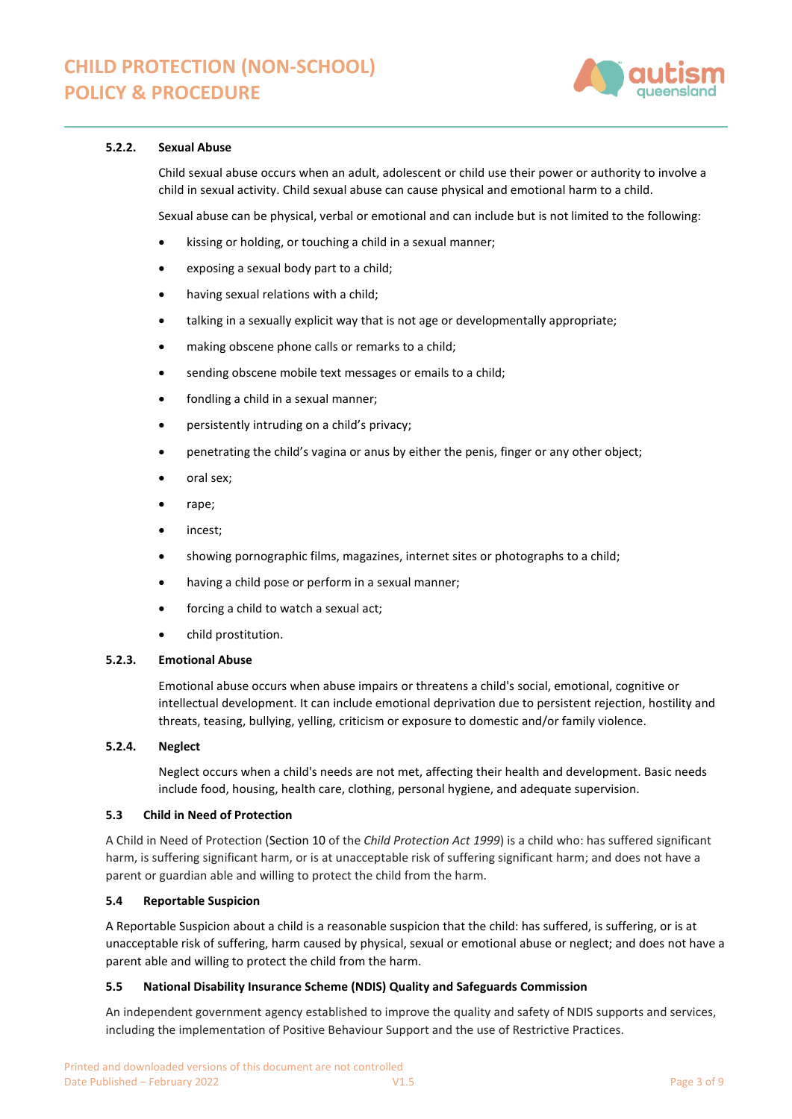

# **5.2.2. Sexual Abuse**

Child sexual abuse occurs when an adult, adolescent or child use their power or authority to involve a child in sexual activity. Child sexual abuse can cause physical and emotional harm to a child.

Sexual abuse can be physical, verbal or emotional and can include but is not limited to the following:

- kissing or holding, or touching a child in a sexual manner;
- exposing a sexual body part to a child;
- having sexual relations with a child;
- talking in a sexually explicit way that is not age or developmentally appropriate;
- making obscene phone calls or remarks to a child;
- sending obscene mobile text messages or emails to a child;
- fondling a child in a sexual manner;
- persistently intruding on a child's privacy;
- penetrating the child's vagina or anus by either the penis, finger or any other object;
- oral sex;
- rape;
- incest;
- showing pornographic films, magazines, internet sites or photographs to a child;
- having a child pose or perform in a sexual manner;
- forcing a child to watch a sexual act;
- child prostitution.

## **5.2.3. Emotional Abuse**

Emotional abuse occurs when abuse impairs or threatens a child's social, emotional, cognitive or intellectual development. It can include emotional deprivation due to persistent rejection, hostility and threats, teasing, bullying, yelling, criticism or exposure to domestic and/or family violence.

#### **5.2.4. Neglect**

Neglect occurs when a child's needs are not met, affecting their health and development. Basic needs include food, housing, health care, clothing, personal hygiene, and adequate supervision.

### **5.3 Child in Need of Protection**

A Child in Need of Protection (Section 10 of the *Child Protection Act 1999*) is a child who: has suffered significant harm, is suffering significant harm, or is at unacceptable risk of suffering significant harm; and does not have a parent or guardian able and willing to protect the child from the harm.

# **5.4 Reportable Suspicion**

A Reportable Suspicion about a child is a reasonable suspicion that the child: has suffered, is suffering, or is at unacceptable risk of suffering, harm caused by physical, sexual or emotional abuse or neglect; and does not have a parent able and willing to protect the child from the harm.

#### **5.5 National Disability Insurance Scheme (NDIS) Quality and Safeguards Commission**

An independent government agency established to improve the quality and safety of NDIS supports and services, including the implementation of Positive Behaviour Support and the use of Restrictive Practices.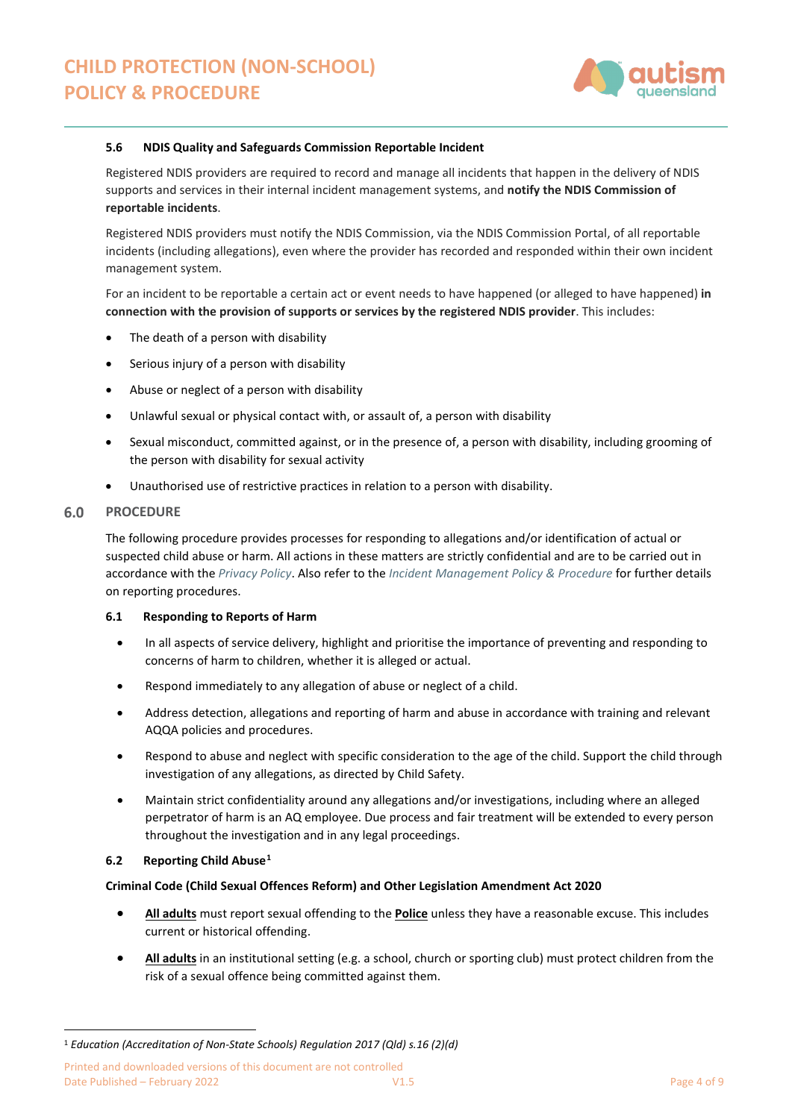

### **5.6 NDIS Quality and Safeguards Commission Reportable Incident**

Registered NDIS providers are required to record and manage all incidents that happen in the delivery of NDIS supports and services in their internal incident management systems, and **notify the NDIS Commission of reportable incidents**.

Registered NDIS providers must notify the NDIS Commission, via the NDIS Commission Portal, of all reportable incidents (including allegations), even where the provider has recorded and responded within their own incident management system.

For an incident to be reportable a certain act or event needs to have happened (or alleged to have happened) **in connection with the provision of supports or services by the registered NDIS provider**. This includes:

- The death of a person with disability
- Serious injury of a person with disability
- Abuse or neglect of a person with disability
- Unlawful sexual or physical contact with, or assault of, a person with disability
- Sexual misconduct, committed against, or in the presence of, a person with disability, including grooming of the person with disability for sexual activity
- Unauthorised use of restrictive practices in relation to a person with disability.

#### $6.0$ **PROCEDURE**

The following procedure provides processes for responding to allegations and/or identification of actual or suspected child abuse or harm. All actions in these matters are strictly confidential and are to be carried out in accordance with the *[Privacy Policy](https://autismqueenslandlimited.sharepoint.com/sites/AQQADocuments/All%20Documents/Privacy%20Policy.pdf)*. Also refer to the *[Incident Management Policy & Procedure](https://autismqueenslandlimited.sharepoint.com/sites/AQQADocuments/All%20Documents/Incident%20Management%20Policy%20&%20Procedure.pdf)* for further details on reporting procedures.

# **6.1 Responding to Reports of Harm**

- In all aspects of service delivery, highlight and prioritise the importance of preventing and responding to concerns of harm to children, whether it is alleged or actual.
- Respond immediately to any allegation of abuse or neglect of a child.
- Address detection, allegations and reporting of harm and abuse in accordance with training and relevant AQQA policies and procedures.
- Respond to abuse and neglect with specific consideration to the age of the child. Support the child through investigation of any allegations, as directed by Child Safety.
- Maintain strict confidentiality around any allegations and/or investigations, including where an alleged perpetrator of harm is an AQ employee. Due process and fair treatment will be extended to every person throughout the investigation and in any legal proceedings.

# **6.2 Reporting Child Abuse[1](#page-3-0)**

# **Criminal Code (Child Sexual Offences Reform) and Other Legislation Amendment Act 2020**

- **All adults** must report sexual offending to the **Police** unless they have a reasonable excuse. This includes current or historical offending.
- **All adults** in an institutional setting (e.g. a school, church or sporting club) must protect children from the risk of a sexual offence being committed against them.

<span id="page-3-0"></span><sup>1</sup> *Education (Accreditation of Non-State Schools) Regulation 2017 (Qld) s.16 (2)(d)*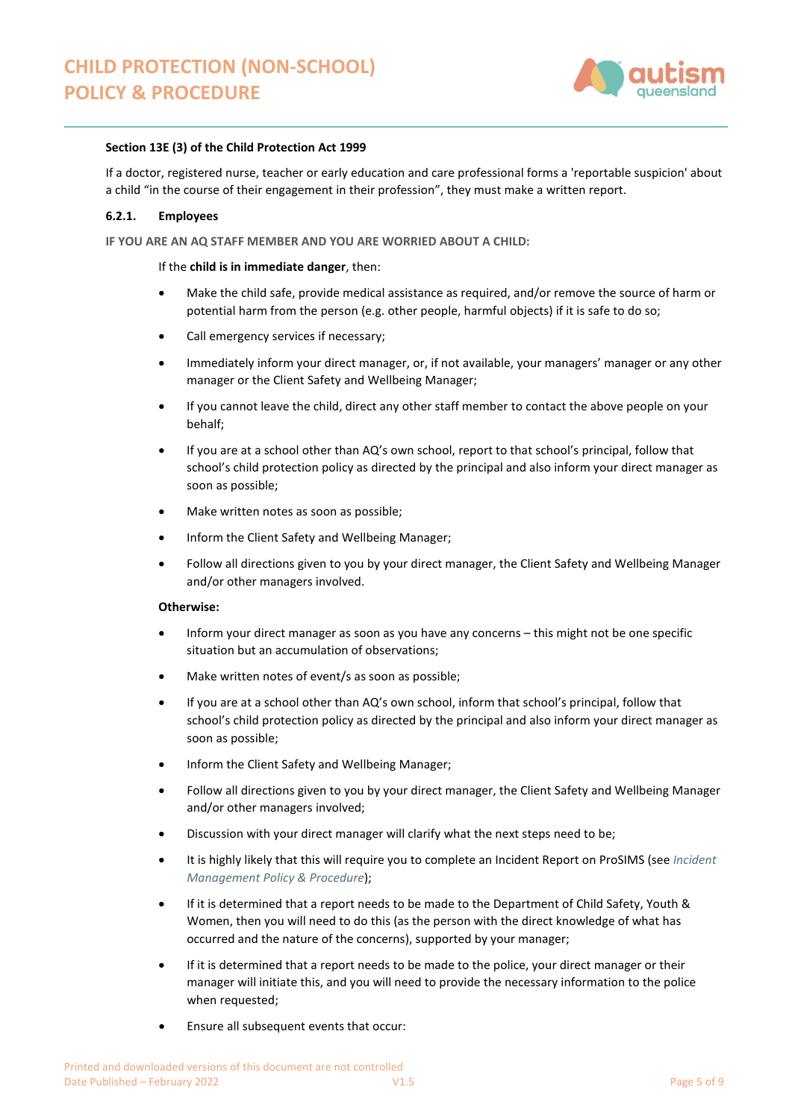

### **Section 13E (3) of the Child Protection Act 1999**

If a doctor, registered nurse, teacher or early education and care professional forms a 'reportable suspicion' about a child "in the course of their engagement in their profession", they must make a written report.

### **6.2.1. Employees**

**IF YOU ARE AN AQ STAFF MEMBER AND YOU ARE WORRIED ABOUT A CHILD:**

### If the **child is in immediate danger**, then:

- Make the child safe, provide medical assistance as required, and/or remove the source of harm or potential harm from the person (e.g. other people, harmful objects) if it is safe to do so;
- Call emergency services if necessary;
- Immediately inform your direct manager, or, if not available, your managers' manager or any other manager or the Client Safety and Wellbeing Manager;
- If you cannot leave the child, direct any other staff member to contact the above people on your behalf;
- If you are at a school other than AQ's own school, report to that school's principal, follow that school's child protection policy as directed by the principal and also inform your direct manager as soon as possible;
- Make written notes as soon as possible;
- Inform the Client Safety and Wellbeing Manager;
- Follow all directions given to you by your direct manager, the Client Safety and Wellbeing Manager and/or other managers involved.

### **Otherwise:**

- Inform your direct manager as soon as you have any concerns this might not be one specific situation but an accumulation of observations;
- Make written notes of event/s as soon as possible;
- If you are at a school other than AQ's own school, inform that school's principal, follow that school's child protection policy as directed by the principal and also inform your direct manager as soon as possible;
- Inform the Client Safety and Wellbeing Manager;
- Follow all directions given to you by your direct manager, the Client Safety and Wellbeing Manager and/or other managers involved;
- Discussion with your direct manager will clarify what the next steps need to be;
- It is highly likely that this will require you to complete an Incident Report on ProSIMS (see *[Incident](https://autismqueenslandlimited.sharepoint.com/sites/AQQADocuments/All%20Documents/Incident%20Management%20Policy%20&%20Procedure.pdf)  [Management Policy & Procedure](https://autismqueenslandlimited.sharepoint.com/sites/AQQADocuments/All%20Documents/Incident%20Management%20Policy%20&%20Procedure.pdf)*);
- If it is determined that a report needs to be made to the Department of Child Safety, Youth & Women, then you will need to do this (as the person with the direct knowledge of what has occurred and the nature of the concerns), supported by your manager;
- If it is determined that a report needs to be made to the police, your direct manager or their manager will initiate this, and you will need to provide the necessary information to the police when requested;
- Ensure all subsequent events that occur: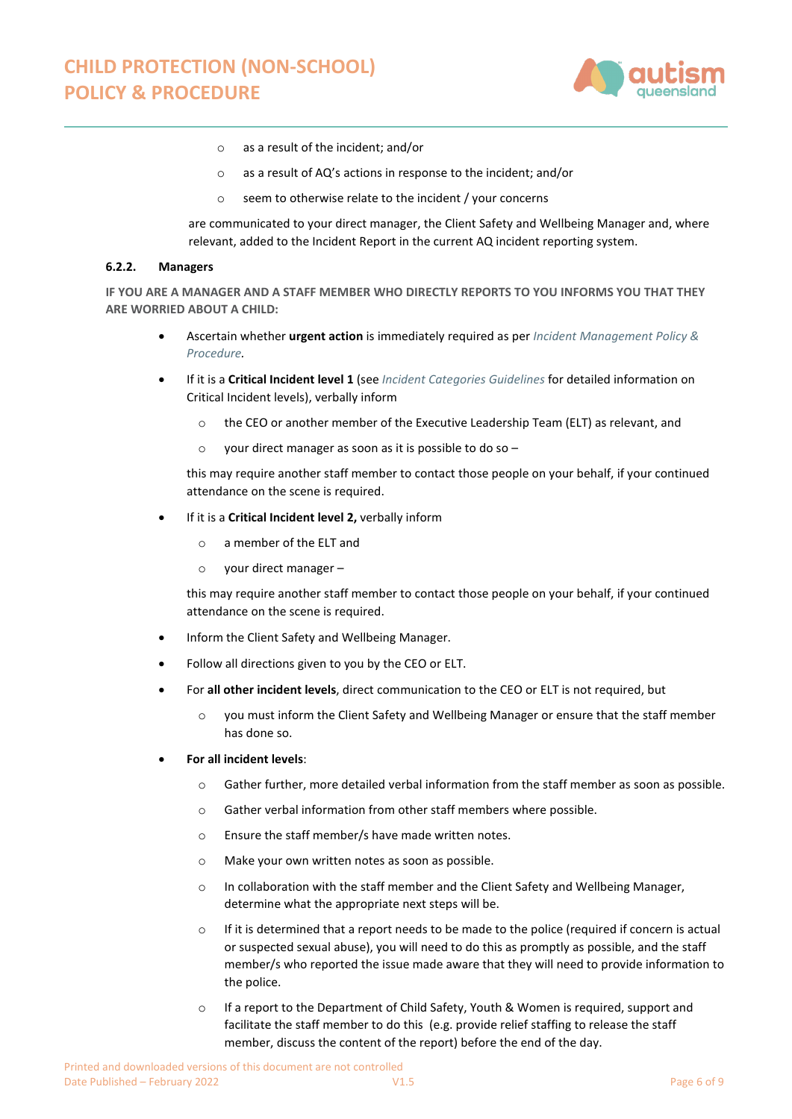

- o as a result of the incident; and/or
- o as a result of AQ's actions in response to the incident; and/or
- o seem to otherwise relate to the incident / your concerns

are communicated to your direct manager, the Client Safety and Wellbeing Manager and, where relevant, added to the Incident Report in the current AQ incident reporting system.

#### **6.2.2. Managers**

**IF YOU ARE A MANAGER AND A STAFF MEMBER WHO DIRECTLY REPORTS TO YOU INFORMS YOU THAT THEY ARE WORRIED ABOUT A CHILD:**

- Ascertain whether **urgent action** is immediately required as per *[Incident Management Policy &](https://autismqueenslandlimited.sharepoint.com/sites/AQQADocuments/All%20Documents/Incident%20Management%20Policy%20&%20Procedure.pdf)  [Procedure.](https://autismqueenslandlimited.sharepoint.com/sites/AQQADocuments/All%20Documents/Incident%20Management%20Policy%20&%20Procedure.pdf)*
- If it is a **Critical Incident level 1** (see *[Incident Categories Guidelines](https://autismqueenslandlimited.sharepoint.com/sites/AQQADocuments/All%20Documents/Incident%20Categories%20Guidelines.pdf)* for detailed information on Critical Incident levels), verbally inform
	- o the CEO or another member of the Executive Leadership Team (ELT) as relevant, and
	- $\circ$  vour direct manager as soon as it is possible to do so –

this may require another staff member to contact those people on your behalf, if your continued attendance on the scene is required.

- If it is a **Critical Incident level 2,** verbally inform
	- o a member of the ELT and
	- o your direct manager –

this may require another staff member to contact those people on your behalf, if your continued attendance on the scene is required.

- Inform the Client Safety and Wellbeing Manager.
- Follow all directions given to you by the CEO or ELT.
- For **all other incident levels**, direct communication to the CEO or ELT is not required, but
	- o you must inform the Client Safety and Wellbeing Manager or ensure that the staff member has done so.

### • **For all incident levels**:

- o Gather further, more detailed verbal information from the staff member as soon as possible.
- o Gather verbal information from other staff members where possible.
- o Ensure the staff member/s have made written notes.
- o Make your own written notes as soon as possible.
- o In collaboration with the staff member and the Client Safety and Wellbeing Manager, determine what the appropriate next steps will be.
- $\circ$  If it is determined that a report needs to be made to the police (required if concern is actual or suspected sexual abuse), you will need to do this as promptly as possible, and the staff member/s who reported the issue made aware that they will need to provide information to the police.
- o If a report to the Department of Child Safety, Youth & Women is required, support and facilitate the staff member to do this (e.g. provide relief staffing to release the staff member, discuss the content of the report) before the end of the day.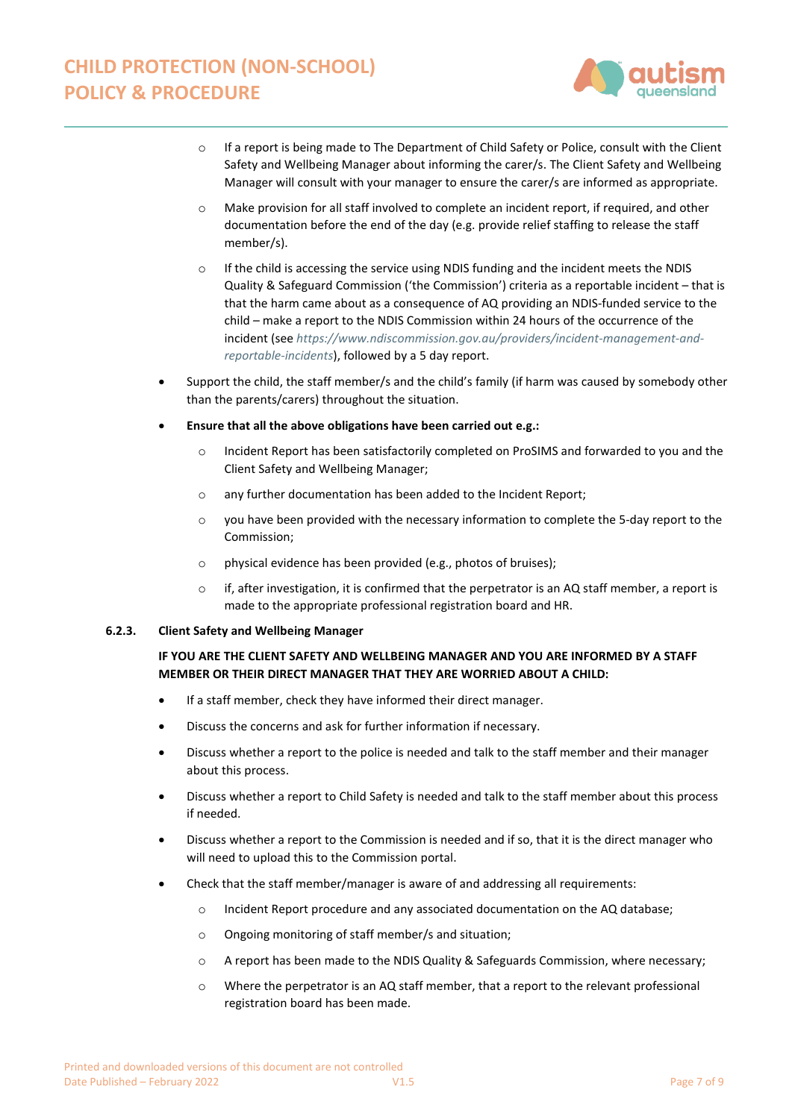

- o If a report is being made to The Department of Child Safety or Police, consult with the Client Safety and Wellbeing Manager about informing the carer/s. The Client Safety and Wellbeing Manager will consult with your manager to ensure the carer/s are informed as appropriate.
- o Make provision for all staff involved to complete an incident report, if required, and other documentation before the end of the day (e.g. provide relief staffing to release the staff member/s).
- o If the child is accessing the service using NDIS funding and the incident meets the NDIS Quality & Safeguard Commission ('the Commission') criteria as a reportable incident – that is that the harm came about as a consequence of AQ providing an NDIS-funded service to the child – make a report to the NDIS Commission within 24 hours of the occurrence of the incident (see *[https://www.ndiscommission.gov.au/providers/incident-management-and](https://www.ndiscommission.gov.au/providers/incident-management-and-reportable-incidents)[reportable-incidents](https://www.ndiscommission.gov.au/providers/incident-management-and-reportable-incidents)*), followed by a 5 day report.
- Support the child, the staff member/s and the child's family (if harm was caused by somebody other than the parents/carers) throughout the situation.
- **Ensure that all the above obligations have been carried out e.g.:**
	- o Incident Report has been satisfactorily completed on ProSIMS and forwarded to you and the Client Safety and Wellbeing Manager;
	- o any further documentation has been added to the Incident Report;
	- $\circ$  you have been provided with the necessary information to complete the 5-day report to the Commission;
	- o physical evidence has been provided (e.g., photos of bruises);
	- $\circ$  if, after investigation, it is confirmed that the perpetrator is an AQ staff member, a report is made to the appropriate professional registration board and HR.

# **6.2.3. Client Safety and Wellbeing Manager**

# **IF YOU ARE THE CLIENT SAFETY AND WELLBEING MANAGER AND YOU ARE INFORMED BY A STAFF MEMBER OR THEIR DIRECT MANAGER THAT THEY ARE WORRIED ABOUT A CHILD:**

- If a staff member, check they have informed their direct manager.
- Discuss the concerns and ask for further information if necessary.
- Discuss whether a report to the police is needed and talk to the staff member and their manager about this process.
- Discuss whether a report to Child Safety is needed and talk to the staff member about this process if needed.
- Discuss whether a report to the Commission is needed and if so, that it is the direct manager who will need to upload this to the Commission portal.
- Check that the staff member/manager is aware of and addressing all requirements:
	- $\circ$  Incident Report procedure and any associated documentation on the AQ database;
	- o Ongoing monitoring of staff member/s and situation;
	- o A report has been made to the NDIS Quality & Safeguards Commission, where necessary;
	- o Where the perpetrator is an AQ staff member, that a report to the relevant professional registration board has been made.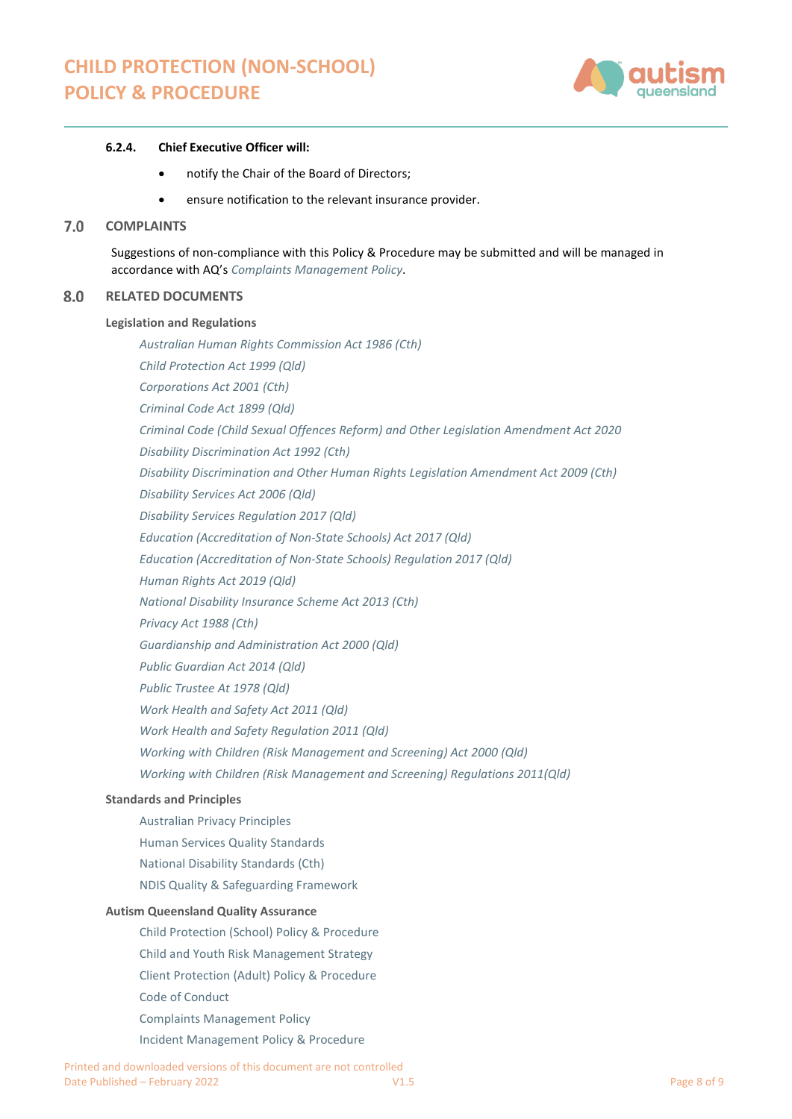

## **6.2.4. Chief Executive Officer will:**

- notify the Chair of the Board of Directors;
- ensure notification to the relevant insurance provider.

#### $7.0$ **COMPLAINTS**

Suggestions of non-compliance with this Policy & Procedure may be submitted and will be managed in accordance with AQ's *Complaints Management Policy*.

#### 8.0 **RELATED DOCUMENTS**

#### **Legislation and Regulations**

*[Australian Human Rights Commission Act 1986 \(Cth\)](https://www.legislation.gov.au/Details/C2021C00434) [Child Protection Act 1999 \(Qld\)](https://www.legislation.qld.gov.au/view/html/inforce/current/act-1999-010) Corporations Act 2001 (Cth) [Criminal Code Act 1899 \(Qld\)](https://www.legislation.qld.gov.au/view/pdf/inforce/current/act-1899-009) [Criminal Code \(Child Sexual Offences Reform\) and Other Legislation Amendment Act 2020](https://www.legislation.qld.gov.au/view/html/asmade/act-2020-032) [Disability Discrimination Act 1992 \(Cth\)](https://www.legislation.gov.au/Details/C2016C00763) [Disability Discrimination and Other Human Rights Legislation Amendment Act 2009 \(Cth\)](https://www.legislation.gov.au/Details/C2011C00175) [Disability Services Act 2006 \(Qld\)](https://www.legislation.qld.gov.au/view/html/inforce/current/act-2006-012) [Disability Services Regulation 2017 \(Qld\)](https://www.legislation.qld.gov.au/view/html/inforce/current/sl-2017-0099) [Education \(Accreditation of Non-State Schools\) Act 2017](https://www.legislation.qld.gov.au/view/html/inforce/current/act-2001-060) (Qld) [Education \(Accreditation of Non-State Schools\) Regulation 2017](https://www.legislation.qld.gov.au/view/html/inforce/current/sl-2001-0211) (Qld) [Human Rights Act 2019 \(Qld\)](https://www.legislation.qld.gov.au/view/html/inforce/current/act-2019-005) [National Disability Insurance Scheme Act 2013 \(Cth\)](https://www.legislation.gov.au/Details/C2016C00934) [Privacy Act 1988 \(Cth\)](https://www.legislation.gov.au/Details/C2017C00283) [Guardianship and Administration Act 2000 \(Qld\)](https://www.legislation.qld.gov.au/view/html/inforce/current/act-2000-008) [Public Guardian Act 2014 \(Qld\)](https://www.legislation.qld.gov.au/view/html/inforce/current/act-2014-026) [Public Trustee At 1978 \(Qld\)](https://www.legislation.qld.gov.au/view/html/inforce/current/act-1978-073) [Work Health and Safety Act 2011 \(Qld\)](https://www.legislation.qld.gov.au/view/html/inforce/current/act-2011-018) [Work Health and Safety Regulation 2011 \(Qld\)](https://www.legislation.qld.gov.au/view/html/inforce/current/sl-2014-0189) [Working with Children \(Risk Management and Screening\) Act 2000 \(Qld\)](https://www.legislation.qld.gov.au/view/html/inforce/current/act-2000-060) [Working with Children \(Risk Management and Screening\) Regulations 2011\(Qld\)](https://www.legislation.qld.gov.au/view/html/inforce/current/sl-2011-0148)*

# **Standards and Principles**

[Australian Privacy Principles](https://www.oaic.gov.au/individuals/privacy-fact-sheets/general/privacy-fact-sheet-17-australian-privacy-principles) [Human Services Quality Standards](https://www.dsdsatsip.qld.gov.au/our-work/human-services-quality-framework) [National Disability Standards \(Cth\)](https://www.dss.gov.au/our-responsibilities/disability-and-carers/standards-and-quality-assurance/national-standards-for-disability-services) [NDIS Quality & Safeguarding Framework](https://www.dss.gov.au/our-responsibilities/disability-and-carers/standards-and-quality-assurance/national-standards-for-disability-services) 

#### **Autism Queensland Quality Assurance**

[Child Protection \(School\) Policy & Procedure](https://autismqueenslandlimited.sharepoint.com/sites/AQQADocuments/All%20Documents/Child%20Protection%20(School)%20Policy%20&%20Procedure.pdf) [Child and Youth Risk Management Strategy](https://autismqueenslandlimited.sharepoint.com/sites/AQQADocuments/All%20Documents/Child%20&%20Youth%20Risk%20Management%20Strategy.pdf) [Client Protection \(Adult\) Policy & Procedure](https://autismqueenslandlimited.sharepoint.com/sites/AQQADocuments/All%20Documents/Client%20Protection%20(Adult)%20Policy%20&%20Procedure.pdf) [Code of Conduct](https://autismqueenslandlimited.sharepoint.com/sites/AQQADocuments/All%20Documents/Code%20of%20Conduct.pdf) [Complaints Management Policy](https://autismqueenslandlimited.sharepoint.com/sites/AQQADocuments/All%20Documents/Complaints%20Management%20Policy.pdf) [Incident Management Policy & Procedure](https://autismqueenslandlimited.sharepoint.com/sites/AQQADocuments/All%20Documents/Incident%20Management%20Policy%20&%20Procedure.pdf)